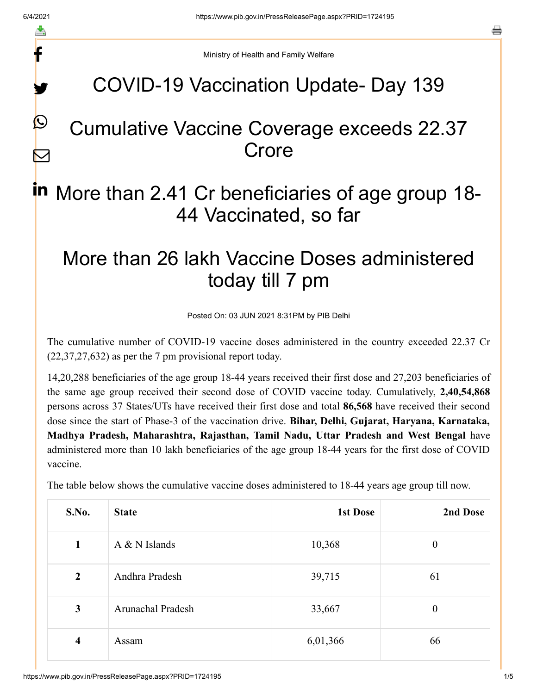f

y.

 $\boldsymbol{Q}$ 

 $\boldsymbol{\nabla}$ 

a

Ministry of Health and Family Welfare

### COVID-19 Vaccination Update- Day 139

### Cumulative Vaccine Coverage exceeds 22.37 Crore

# in More than 2.41 Cr beneficiaries of age group 18-44 Vaccinated, so far

## More than 26 lakh Vaccine Doses administered today till 7 pm

Posted On: 03 JUN 2021 8:31PM by PIB Delhi

The cumulative number of COVID-19 vaccine doses administered in the country exceeded 22.37 Cr (22,37,27,632) as per the 7 pm provisional report today.

14,20,288 beneficiaries of the age group 18-44 years received their first dose and 27,203 beneficiaries of the same age group received their second dose of COVID vaccine today. Cumulatively, **2,40,54,868** persons across 37 States/UTs have received their first dose and total **86,568** have received their second dose since the start of Phase-3 of the vaccination drive. **Bihar, Delhi, Gujarat, Haryana, Karnataka, Madhya Pradesh, Maharashtra, Rajasthan, Tamil Nadu, Uttar Pradesh and West Bengal** have administered more than 10 lakh beneficiaries of the age group 18-44 years for the first dose of COVID vaccine.

The table below shows the cumulative vaccine doses administered to 18-44 years age group till now.

| S.No.          | <b>State</b>      | 1st Dose | 2nd Dose         |
|----------------|-------------------|----------|------------------|
| $\mathbf{1}$   | $A & N$ Islands   | 10,368   | $\boldsymbol{0}$ |
| $\overline{2}$ | Andhra Pradesh    | 39,715   | 61               |
| 3              | Arunachal Pradesh | 33,667   | $\boldsymbol{0}$ |
| 4              | Assam             | 6,01,366 | 66               |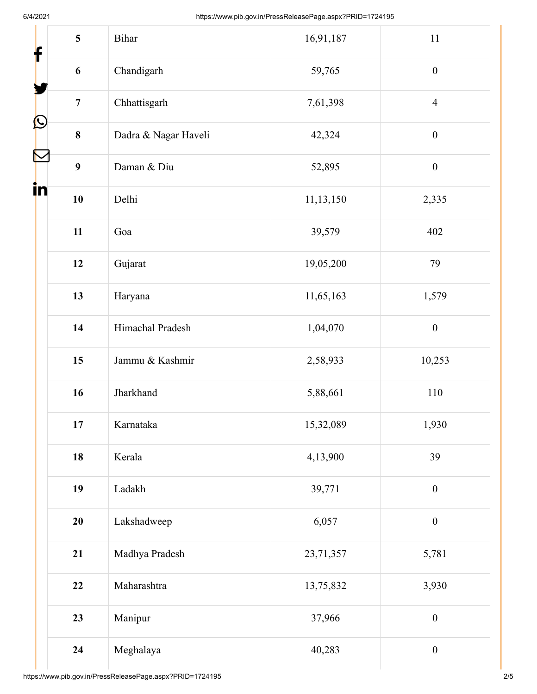| 5<br>$\mathbf f$              | Bihar                | 16,91,187 | 11               |
|-------------------------------|----------------------|-----------|------------------|
| $\boldsymbol{6}$              | Chandigarh           | 59,765    | $\boldsymbol{0}$ |
| $\overline{7}$                | Chhattisgarh         | 7,61,398  | $\overline{4}$   |
| $\mathbf{\Omega}$<br>$\bf{8}$ | Dadra & Nagar Haveli | 42,324    | $\boldsymbol{0}$ |
| N<br>9                        | Daman & Diu          | 52,895    | $\boldsymbol{0}$ |
| in<br>10                      | Delhi                | 11,13,150 | 2,335            |
| 11                            | Goa                  | 39,579    | 402              |
| 12                            | Gujarat              | 19,05,200 | 79               |
| 13                            | Haryana              | 11,65,163 | 1,579            |
| 14                            | Himachal Pradesh     | 1,04,070  | $\boldsymbol{0}$ |
| 15                            | Jammu & Kashmir      | 2,58,933  | 10,253           |
| 16                            | Jharkhand            | 5,88,661  | 110              |
| 17                            | Karnataka            | 15,32,089 | 1,930            |
| 18                            | Kerala               | 4,13,900  | 39               |
| 19                            | Ladakh               | 39,771    | $\boldsymbol{0}$ |
| 20                            | Lakshadweep          | 6,057     | $\boldsymbol{0}$ |
| 21                            | Madhya Pradesh       | 23,71,357 | 5,781            |
| 22                            | Maharashtra          | 13,75,832 | 3,930            |
| 23                            | Manipur              | 37,966    | $\boldsymbol{0}$ |
| 24                            | Meghalaya            | 40,283    | $\boldsymbol{0}$ |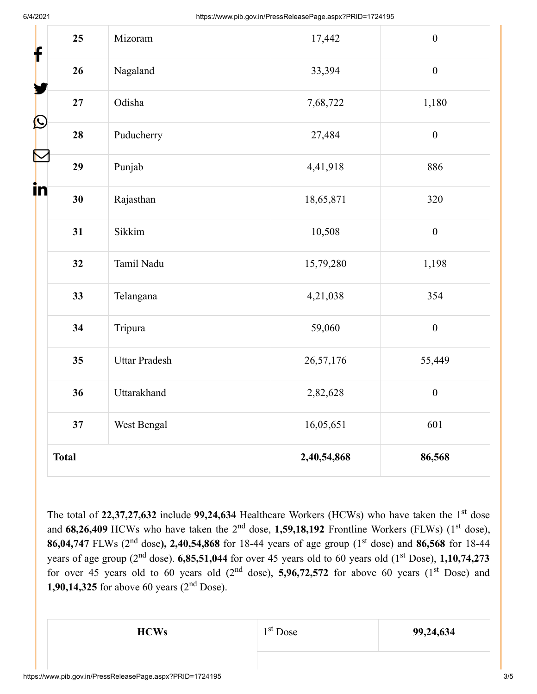| 25<br>f            | Mizoram              | 17,442      | $\boldsymbol{0}$ |
|--------------------|----------------------|-------------|------------------|
| 26                 | Nagaland             | 33,394      | $\boldsymbol{0}$ |
| 27                 | Odisha               | 7,68,722    | 1,180            |
| $\bf \Omega$<br>28 | Puducherry           | 27,484      | $\boldsymbol{0}$ |
| 29                 | Punjab               | 4,41,918    | 886              |
| in<br>30           | Rajasthan            | 18,65,871   | 320              |
| 31                 | Sikkim               | 10,508      | $\boldsymbol{0}$ |
| 32                 | Tamil Nadu           | 15,79,280   | 1,198            |
| 33                 | Telangana            | 4,21,038    | 354              |
| 34                 | Tripura              | 59,060      | $\boldsymbol{0}$ |
| 35                 | <b>Uttar Pradesh</b> | 26,57,176   | 55,449           |
| 36                 | Uttarakhand          | 2,82,628    | $\boldsymbol{0}$ |
| 37                 | West Bengal          | 16,05,651   | 601              |
| <b>Total</b>       |                      | 2,40,54,868 | 86,568           |

The total of 22,37,27,632 include 99,24,634 Healthcare Workers (HCWs) who have taken the 1<sup>st</sup> dose and 68,26,409 HCWs who have taken the 2<sup>nd</sup> dose, 1,59,18,192 Frontline Workers (FLWs) (1<sup>st</sup> dose), **86,04,747** FLWs (2<sup>nd</sup> dose), 2,40,54,868 for 18-44 years of age group (1<sup>st</sup> dose) and 86,568 for 18-44 years of age group (2<sup>nd</sup> dose).  $6,85,51,044$  for over 45 years old to 60 years old (1<sup>st</sup> Dose),  $1,10,74,273$ for over 45 years old to 60 years old  $(2<sup>nd</sup> dose)$ , **5,96,72,572** for above 60 years  $(1<sup>st</sup> Does)$  and **1,90,14,325** for above 60 years  $(2<sup>nd</sup>$  Dose).

1<sup>st</sup> Dose

**HCWs**  $1^{st}$  Dose  $99,24,634$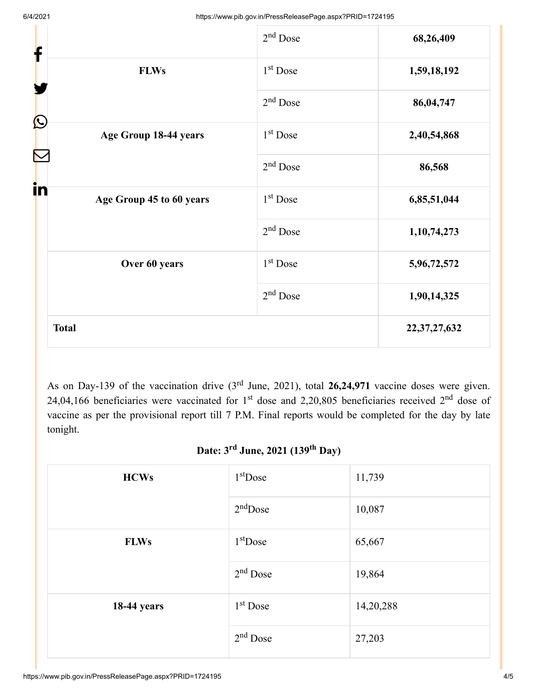| f                                            | $2nd$ Dose           | 68,26,409       |
|----------------------------------------------|----------------------|-----------------|
| <b>FLWs</b>                                  | 1 <sup>st</sup> Dose | 1,59,18,192     |
|                                              | $2nd$ Dose           | 86,04,747       |
| $\bigcirc$<br>Age Group 18-44 years          | 1 <sup>st</sup> Dose | 2,40,54,868     |
|                                              | $2nd$ Dose           | 86,568          |
| i <mark>n</mark><br>Age Group 45 to 60 years | 1 <sup>st</sup> Dose | 6,85,51,044     |
|                                              | $2nd$ Dose           | 1,10,74,273     |
| Over 60 years                                | 1 <sup>st</sup> Dose | 5,96,72,572     |
|                                              | $2nd$ Dose           | 1,90,14,325     |
| <b>Total</b>                                 |                      | 22, 37, 27, 632 |

As on Day-139 of the vaccination drive  $(3<sup>rd</sup>$  June, 2021), total 26,24,971 vaccine doses were given. 24,04,166 beneficiaries were vaccinated for 1<sup>st</sup> dose and 2,20,805 beneficiaries received 2<sup>nd</sup> dose of vaccine as per the provisional report till 7 P.M. Final reports would be completed for the day by late tonight.

#### Date: 3<sup>rd</sup> June, 2021 (139<sup>th</sup> Day)

| <b>HCWs</b>        | $1st$ Dose | 11,739    |
|--------------------|------------|-----------|
|                    | $2nd$ Dose | 10,087    |
| <b>FLWs</b>        | $1st$ Dose | 65,667    |
|                    | $2nd$ Dose | 19,864    |
| <b>18-44 years</b> | $1st$ Dose | 14,20,288 |
|                    | $2nd$ Dose | 27,203    |